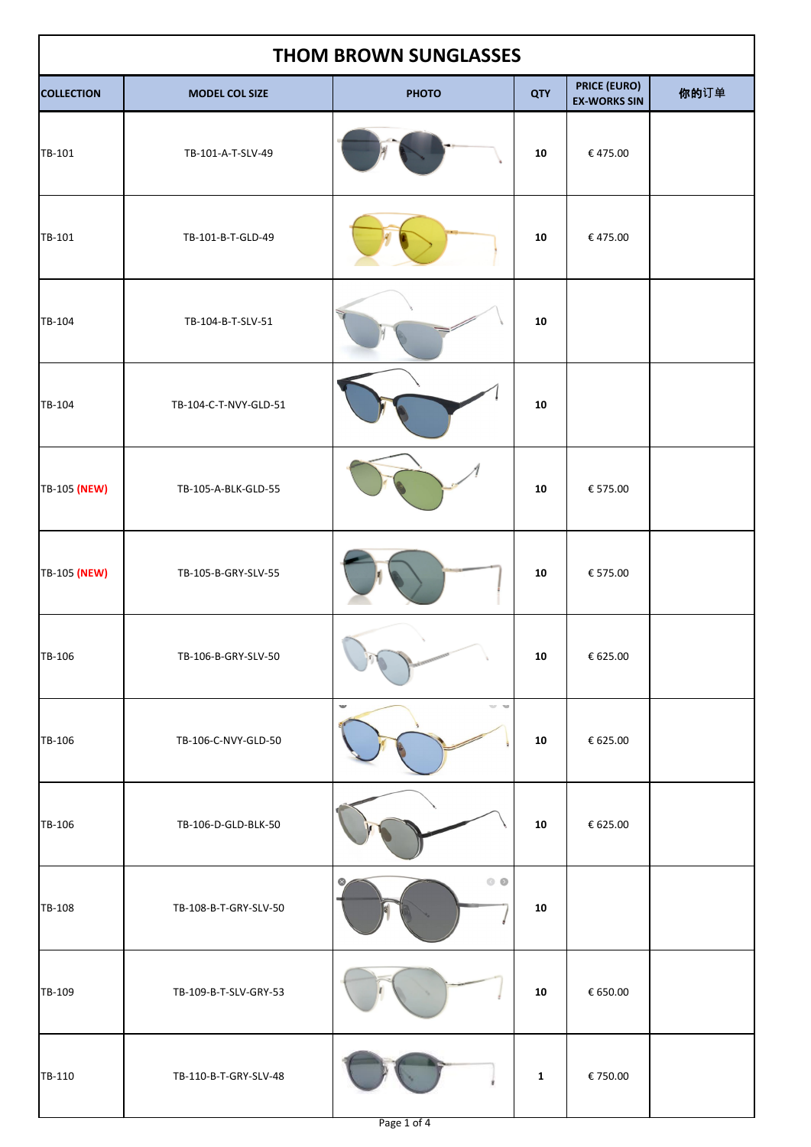| <b>THOM BROWN SUNGLASSES</b> |                       |                 |              |                                            |      |  |
|------------------------------|-----------------------|-----------------|--------------|--------------------------------------------|------|--|
| <b>COLLECTION</b>            | <b>MODEL COL SIZE</b> | <b>PHOTO</b>    | <b>QTY</b>   | <b>PRICE (EURO)</b><br><b>EX-WORKS SIN</b> | 你的订单 |  |
| TB-101                       | TB-101-A-T-SLV-49     |                 | 10           | €475.00                                    |      |  |
| TB-101                       | TB-101-B-T-GLD-49     |                 | ${\bf 10}$   | €475.00                                    |      |  |
| TB-104                       | TB-104-B-T-SLV-51     |                 | ${\bf 10}$   |                                            |      |  |
| TB-104                       | TB-104-C-T-NVY-GLD-51 |                 | 10           |                                            |      |  |
| TB-105 (NEW)                 | TB-105-A-BLK-GLD-55   |                 | 10           | € 575.00                                   |      |  |
| TB-105 (NEW)                 | TB-105-B-GRY-SLV-55   |                 | ${\bf 10}$   | € 575.00                                   |      |  |
| TB-106                       | TB-106-B-GRY-SLV-50   |                 | 10           | € 625.00                                   |      |  |
| TB-106                       | TB-106-C-NVY-GLD-50   | w<br>er se      | ${\bf 10}$   | € 625.00                                   |      |  |
| TB-106                       | TB-106-D-GLD-BLK-50   |                 | ${\bf 10}$   | € 625.00                                   |      |  |
| TB-108                       | TB-108-B-T-GRY-SLV-50 | $\circ$ $\circ$ | ${\bf 10}$   |                                            |      |  |
| TB-109                       | TB-109-B-T-SLV-GRY-53 |                 | ${\bf 10}$   | € 650.00                                   |      |  |
| TB-110                       | TB-110-B-T-GRY-SLV-48 |                 | $\mathbf{1}$ | €750.00                                    |      |  |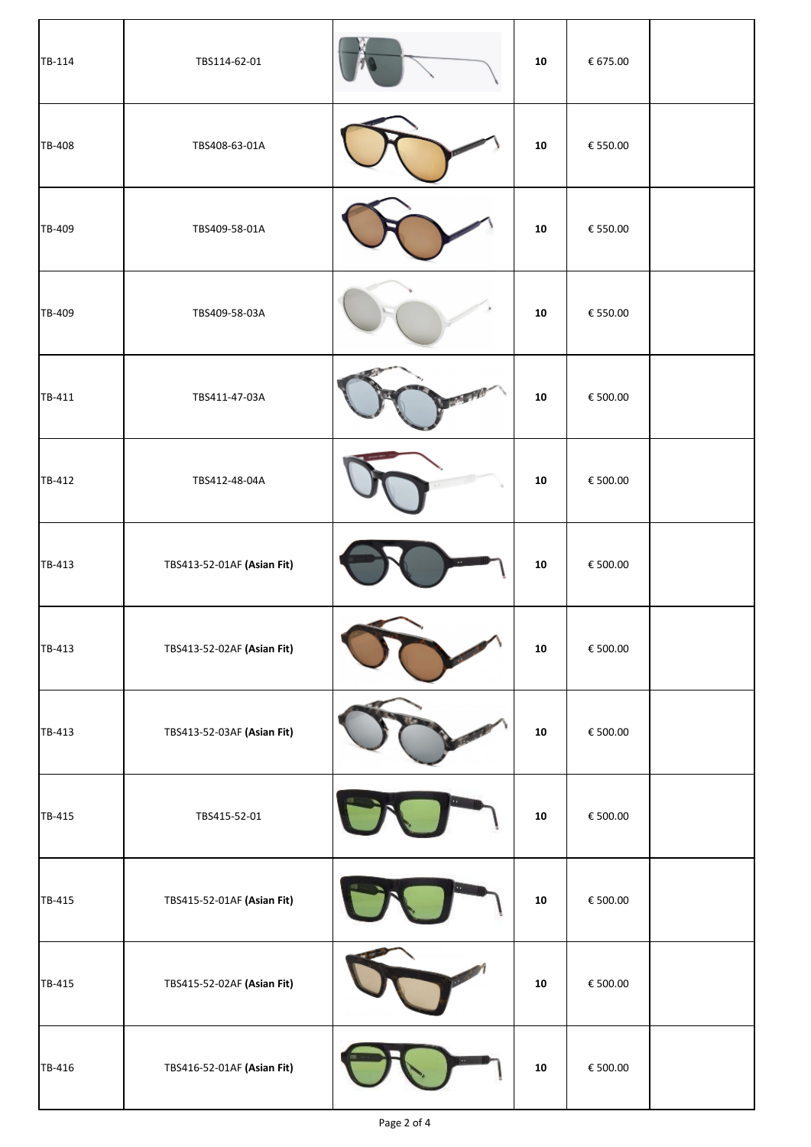| TB-114 | TBS114-62-01               | 10         | € 675.00                       |  |
|--------|----------------------------|------------|--------------------------------|--|
| TB-408 | TBS408-63-01A              | ${\bf 10}$ | € 550.00                       |  |
| TB-409 | TBS409-58-01A              | 10         | $\boldsymbol{\epsilon}$ 550.00 |  |
| TB-409 | TBS409-58-03A              | 10         | € 550.00                       |  |
| TB-411 | TBS411-47-03A              | 10         | $\boldsymbol{\epsilon}$ 500.00 |  |
| TB-412 | TBS412-48-04A              | 10         | € 500.00                       |  |
| TB-413 | TBS413-52-01AF (Asian Fit) | 10         | € 500.00                       |  |
| TB-413 | TBS413-52-02AF (Asian Fit) | 10         | € 500.00                       |  |
| TB-413 | TBS413-52-03AF (Asian Fit) | 10         | € 500.00                       |  |
| TB-415 | TBS415-52-01               | 10         | € 500.00                       |  |
| TB-415 | TBS415-52-01AF (Asian Fit) | 10         | € 500.00                       |  |
| TB-415 | TBS415-52-02AF (Asian Fit) | ${\bf 10}$ | € 500.00                       |  |
| TB-416 | TBS416-52-01AF (Asian Fit) | ${\bf 10}$ | € 500.00                       |  |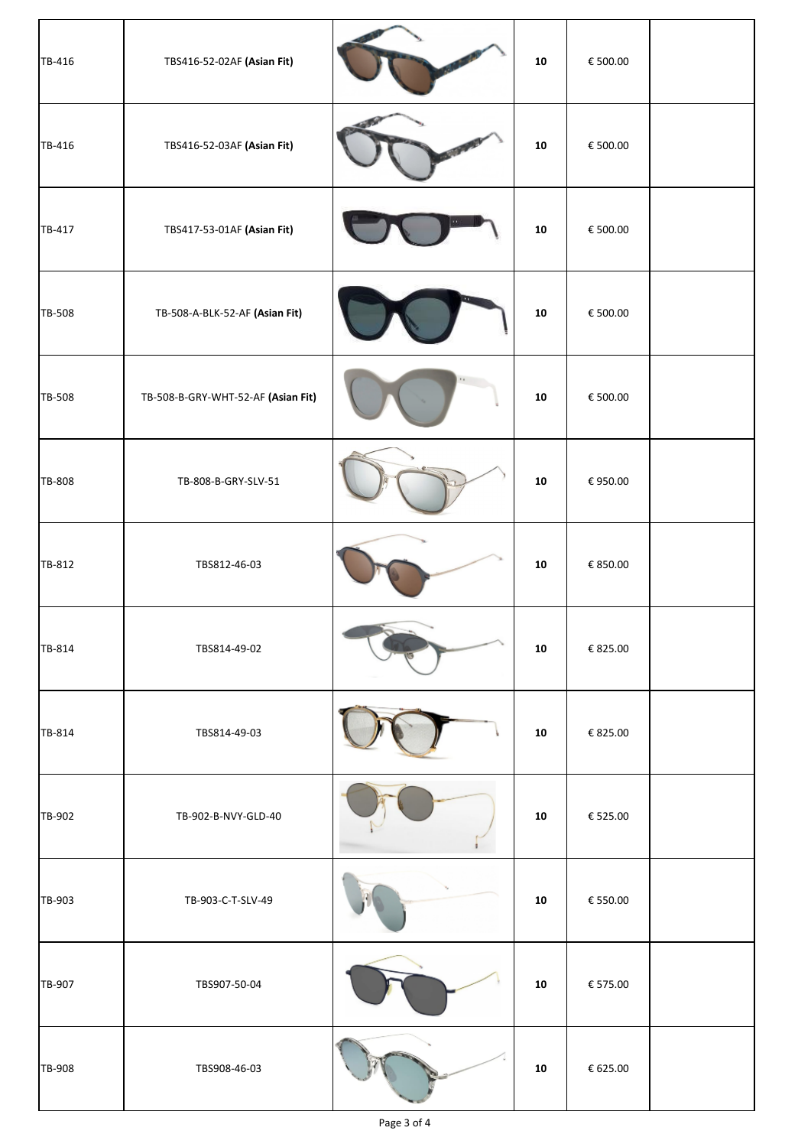| TB-416 | TBS416-52-02AF (Asian Fit)         | 10         | € 500.00                       |  |
|--------|------------------------------------|------------|--------------------------------|--|
| TB-416 | TBS416-52-03AF (Asian Fit)         | 10         | € 500.00                       |  |
| TB-417 | TBS417-53-01AF (Asian Fit)         | ${\bf 10}$ | € 500.00                       |  |
| TB-508 | TB-508-A-BLK-52-AF (Asian Fit)     | ${\bf 10}$ | € 500.00                       |  |
| TB-508 | TB-508-B-GRY-WHT-52-AF (Asian Fit) | ${\bf 10}$ | € 500.00                       |  |
| TB-808 | TB-808-B-GRY-SLV-51                | ${\bf 10}$ | € 950.00                       |  |
| TB-812 | TBS812-46-03                       | 10         | € 850.00                       |  |
| TB-814 | TBS814-49-02                       | 10         | € 825.00                       |  |
| TB-814 | TBS814-49-03                       | 10         | € 825.00                       |  |
| TB-902 | TB-902-B-NVY-GLD-40                | 10         | € 525.00                       |  |
| TB-903 | TB-903-C-T-SLV-49                  | 10         | $\boldsymbol{\epsilon}$ 550.00 |  |
| TB-907 | TBS907-50-04                       | ${\bf 10}$ | $\boldsymbol{\epsilon}$ 575.00 |  |
| TB-908 | TBS908-46-03                       | ${\bf 10}$ | $\boldsymbol{\epsilon}$ 625.00 |  |